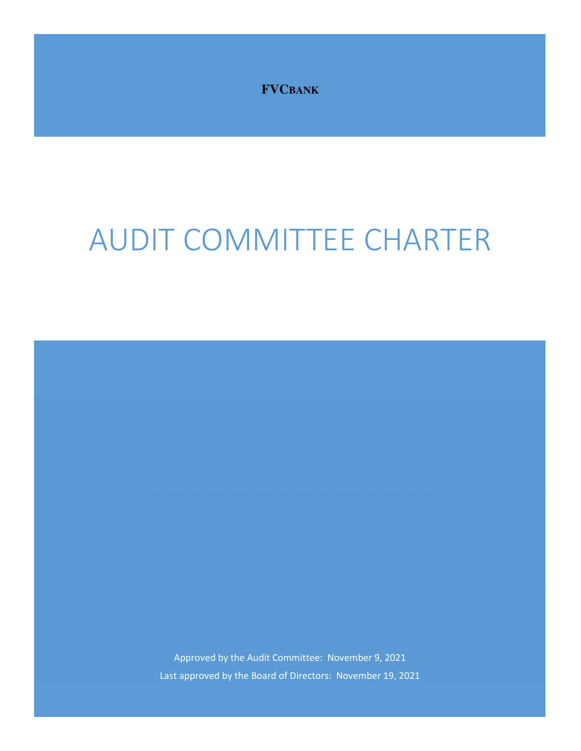**FVCBANK** 

# AUDIT COMMITTEE CHARTER

Approved by the Audit Committee: November 9, 2021 Last approved by the Board of Directors: November 19, 2021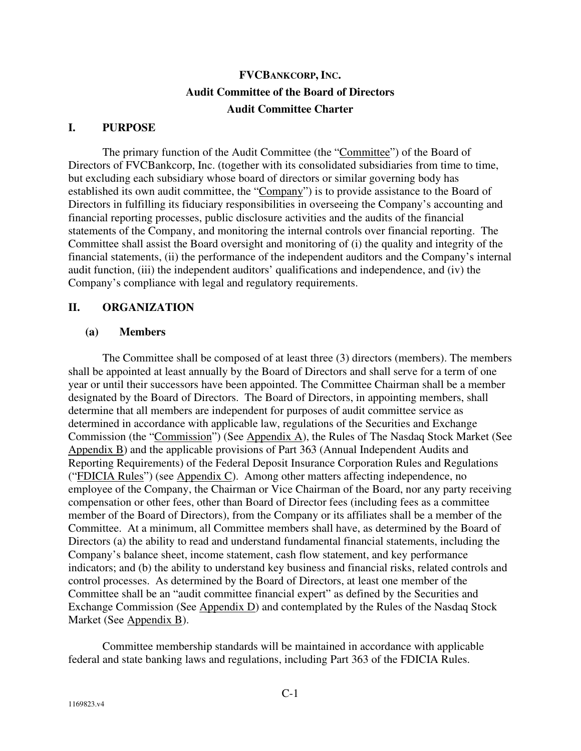# **FVCBANKCORP, INC. Audit Committee of the Board of Directors Audit Committee Charter**

# **I. PURPOSE**

The primary function of the Audit Committee (the "Committee") of the Board of Directors of FVCBankcorp, Inc. (together with its consolidated subsidiaries from time to time, but excluding each subsidiary whose board of directors or similar governing body has established its own audit committee, the "Company") is to provide assistance to the Board of Directors in fulfilling its fiduciary responsibilities in overseeing the Company's accounting and financial reporting processes, public disclosure activities and the audits of the financial statements of the Company, and monitoring the internal controls over financial reporting. The Committee shall assist the Board oversight and monitoring of (i) the quality and integrity of the financial statements, (ii) the performance of the independent auditors and the Company's internal audit function, (iii) the independent auditors' qualifications and independence, and (iv) the Company's compliance with legal and regulatory requirements.

# **II. ORGANIZATION**

## **(a) Members**

The Committee shall be composed of at least three (3) directors (members). The members shall be appointed at least annually by the Board of Directors and shall serve for a term of one year or until their successors have been appointed. The Committee Chairman shall be a member designated by the Board of Directors. The Board of Directors, in appointing members, shall determine that all members are independent for purposes of audit committee service as determined in accordance with applicable law, regulations of the Securities and Exchange Commission (the "Commission") (See Appendix A), the Rules of The Nasdaq Stock Market (See Appendix B) and the applicable provisions of Part 363 (Annual Independent Audits and Reporting Requirements) of the Federal Deposit Insurance Corporation Rules and Regulations ("FDICIA Rules") (see Appendix C). Among other matters affecting independence, no employee of the Company, the Chairman or Vice Chairman of the Board, nor any party receiving compensation or other fees, other than Board of Director fees (including fees as a committee member of the Board of Directors), from the Company or its affiliates shall be a member of the Committee. At a minimum, all Committee members shall have, as determined by the Board of Directors (a) the ability to read and understand fundamental financial statements, including the Company's balance sheet, income statement, cash flow statement, and key performance indicators; and (b) the ability to understand key business and financial risks, related controls and control processes. As determined by the Board of Directors, at least one member of the Committee shall be an "audit committee financial expert" as defined by the Securities and Exchange Commission (See Appendix D) and contemplated by the Rules of the Nasdaq Stock Market (See Appendix B).

Committee membership standards will be maintained in accordance with applicable federal and state banking laws and regulations, including Part 363 of the FDICIA Rules.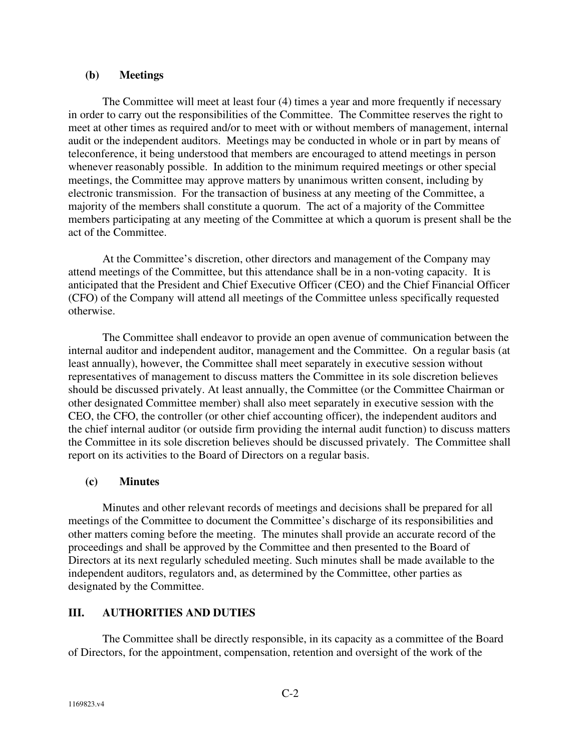## **(b) Meetings**

The Committee will meet at least four (4) times a year and more frequently if necessary in order to carry out the responsibilities of the Committee. The Committee reserves the right to meet at other times as required and/or to meet with or without members of management, internal audit or the independent auditors. Meetings may be conducted in whole or in part by means of teleconference, it being understood that members are encouraged to attend meetings in person whenever reasonably possible. In addition to the minimum required meetings or other special meetings, the Committee may approve matters by unanimous written consent, including by electronic transmission. For the transaction of business at any meeting of the Committee, a majority of the members shall constitute a quorum. The act of a majority of the Committee members participating at any meeting of the Committee at which a quorum is present shall be the act of the Committee.

At the Committee's discretion, other directors and management of the Company may attend meetings of the Committee, but this attendance shall be in a non-voting capacity. It is anticipated that the President and Chief Executive Officer (CEO) and the Chief Financial Officer (CFO) of the Company will attend all meetings of the Committee unless specifically requested otherwise.

The Committee shall endeavor to provide an open avenue of communication between the internal auditor and independent auditor, management and the Committee. On a regular basis (at least annually), however, the Committee shall meet separately in executive session without representatives of management to discuss matters the Committee in its sole discretion believes should be discussed privately. At least annually, the Committee (or the Committee Chairman or other designated Committee member) shall also meet separately in executive session with the CEO, the CFO, the controller (or other chief accounting officer), the independent auditors and the chief internal auditor (or outside firm providing the internal audit function) to discuss matters the Committee in its sole discretion believes should be discussed privately. The Committee shall report on its activities to the Board of Directors on a regular basis.

## **(c) Minutes**

Minutes and other relevant records of meetings and decisions shall be prepared for all meetings of the Committee to document the Committee's discharge of its responsibilities and other matters coming before the meeting. The minutes shall provide an accurate record of the proceedings and shall be approved by the Committee and then presented to the Board of Directors at its next regularly scheduled meeting. Such minutes shall be made available to the independent auditors, regulators and, as determined by the Committee, other parties as designated by the Committee.

# **III. AUTHORITIES AND DUTIES**

The Committee shall be directly responsible, in its capacity as a committee of the Board of Directors, for the appointment, compensation, retention and oversight of the work of the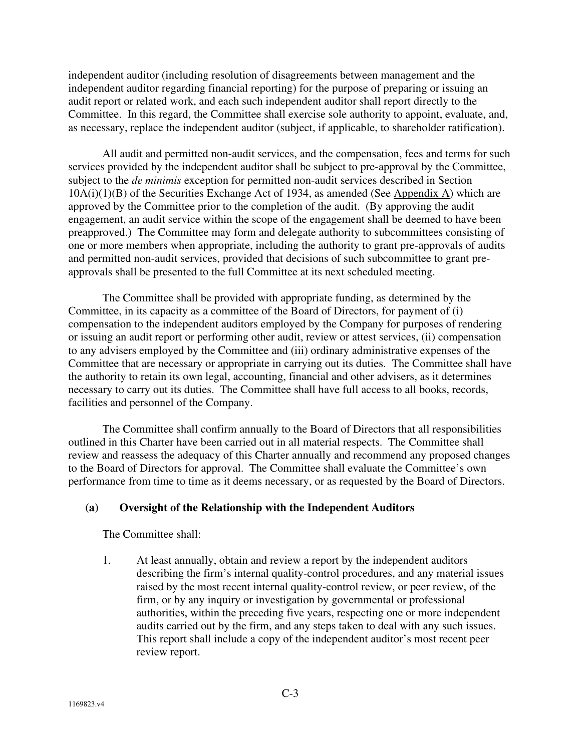independent auditor (including resolution of disagreements between management and the independent auditor regarding financial reporting) for the purpose of preparing or issuing an audit report or related work, and each such independent auditor shall report directly to the Committee. In this regard, the Committee shall exercise sole authority to appoint, evaluate, and, as necessary, replace the independent auditor (subject, if applicable, to shareholder ratification).

All audit and permitted non-audit services, and the compensation, fees and terms for such services provided by the independent auditor shall be subject to pre-approval by the Committee, subject to the *de minimis* exception for permitted non-audit services described in Section 10A(i)(1)(B) of the Securities Exchange Act of 1934, as amended (See Appendix A) which are approved by the Committee prior to the completion of the audit. (By approving the audit engagement, an audit service within the scope of the engagement shall be deemed to have been preapproved.) The Committee may form and delegate authority to subcommittees consisting of one or more members when appropriate, including the authority to grant pre-approvals of audits and permitted non-audit services, provided that decisions of such subcommittee to grant preapprovals shall be presented to the full Committee at its next scheduled meeting.

The Committee shall be provided with appropriate funding, as determined by the Committee, in its capacity as a committee of the Board of Directors, for payment of (i) compensation to the independent auditors employed by the Company for purposes of rendering or issuing an audit report or performing other audit, review or attest services, (ii) compensation to any advisers employed by the Committee and (iii) ordinary administrative expenses of the Committee that are necessary or appropriate in carrying out its duties. The Committee shall have the authority to retain its own legal, accounting, financial and other advisers, as it determines necessary to carry out its duties. The Committee shall have full access to all books, records, facilities and personnel of the Company.

The Committee shall confirm annually to the Board of Directors that all responsibilities outlined in this Charter have been carried out in all material respects. The Committee shall review and reassess the adequacy of this Charter annually and recommend any proposed changes to the Board of Directors for approval. The Committee shall evaluate the Committee's own performance from time to time as it deems necessary, or as requested by the Board of Directors.

## **(a) Oversight of the Relationship with the Independent Auditors**

The Committee shall:

1. At least annually, obtain and review a report by the independent auditors describing the firm's internal quality-control procedures, and any material issues raised by the most recent internal quality-control review, or peer review, of the firm, or by any inquiry or investigation by governmental or professional authorities, within the preceding five years, respecting one or more independent audits carried out by the firm, and any steps taken to deal with any such issues. This report shall include a copy of the independent auditor's most recent peer review report.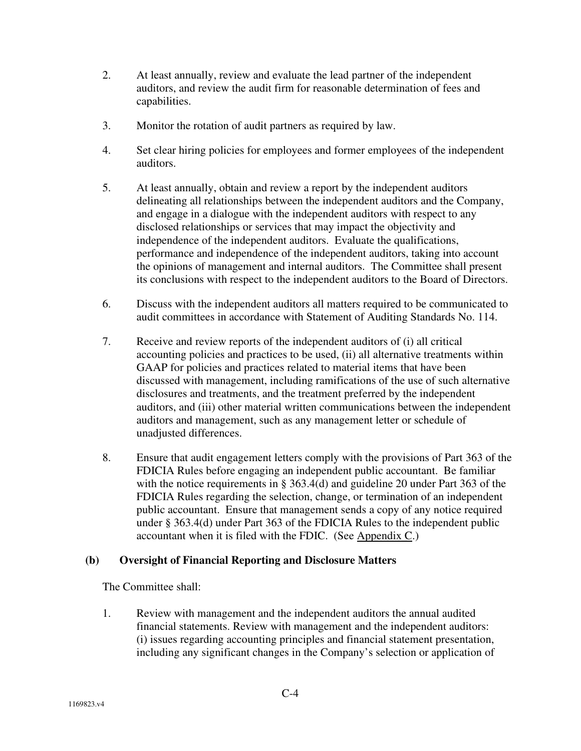- 2. At least annually, review and evaluate the lead partner of the independent auditors, and review the audit firm for reasonable determination of fees and capabilities.
- 3. Monitor the rotation of audit partners as required by law.
- 4. Set clear hiring policies for employees and former employees of the independent auditors.
- 5. At least annually, obtain and review a report by the independent auditors delineating all relationships between the independent auditors and the Company, and engage in a dialogue with the independent auditors with respect to any disclosed relationships or services that may impact the objectivity and independence of the independent auditors. Evaluate the qualifications, performance and independence of the independent auditors, taking into account the opinions of management and internal auditors. The Committee shall present its conclusions with respect to the independent auditors to the Board of Directors.
- 6. Discuss with the independent auditors all matters required to be communicated to audit committees in accordance with Statement of Auditing Standards No. 114.
- 7. Receive and review reports of the independent auditors of (i) all critical accounting policies and practices to be used, (ii) all alternative treatments within GAAP for policies and practices related to material items that have been discussed with management, including ramifications of the use of such alternative disclosures and treatments, and the treatment preferred by the independent auditors, and (iii) other material written communications between the independent auditors and management, such as any management letter or schedule of unadjusted differences.
- 8. Ensure that audit engagement letters comply with the provisions of Part 363 of the FDICIA Rules before engaging an independent public accountant. Be familiar with the notice requirements in § 363.4(d) and guideline 20 under Part 363 of the FDICIA Rules regarding the selection, change, or termination of an independent public accountant. Ensure that management sends a copy of any notice required under § 363.4(d) under Part 363 of the FDICIA Rules to the independent public accountant when it is filed with the FDIC. (See Appendix  $C$ .)

# **(b) Oversight of Financial Reporting and Disclosure Matters**

The Committee shall:

1. Review with management and the independent auditors the annual audited financial statements. Review with management and the independent auditors: (i) issues regarding accounting principles and financial statement presentation, including any significant changes in the Company's selection or application of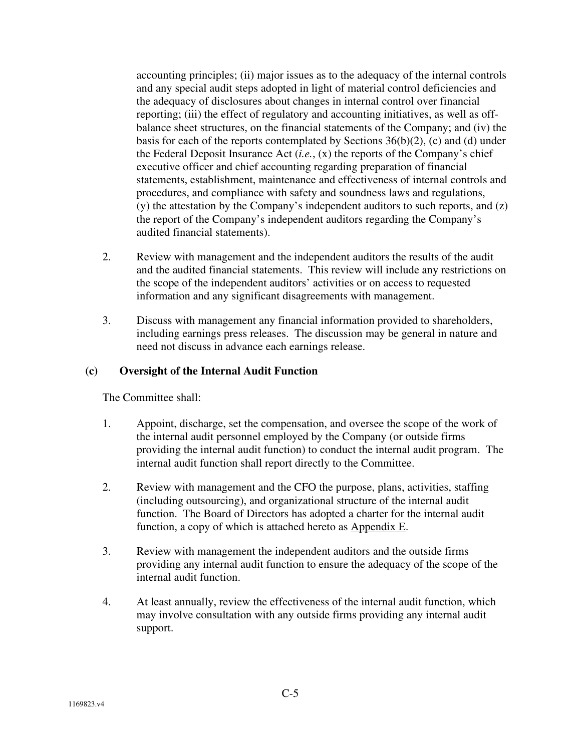accounting principles; (ii) major issues as to the adequacy of the internal controls and any special audit steps adopted in light of material control deficiencies and the adequacy of disclosures about changes in internal control over financial reporting; (iii) the effect of regulatory and accounting initiatives, as well as offbalance sheet structures, on the financial statements of the Company; and (iv) the basis for each of the reports contemplated by Sections  $36(b)(2)$ , (c) and (d) under the Federal Deposit Insurance Act (*i.e.*, (x) the reports of the Company's chief executive officer and chief accounting regarding preparation of financial statements, establishment, maintenance and effectiveness of internal controls and procedures, and compliance with safety and soundness laws and regulations, (y) the attestation by the Company's independent auditors to such reports, and (z) the report of the Company's independent auditors regarding the Company's audited financial statements).

- 2. Review with management and the independent auditors the results of the audit and the audited financial statements. This review will include any restrictions on the scope of the independent auditors' activities or on access to requested information and any significant disagreements with management.
- 3. Discuss with management any financial information provided to shareholders, including earnings press releases. The discussion may be general in nature and need not discuss in advance each earnings release.

## **(c) Oversight of the Internal Audit Function**

The Committee shall:

- 1. Appoint, discharge, set the compensation, and oversee the scope of the work of the internal audit personnel employed by the Company (or outside firms providing the internal audit function) to conduct the internal audit program. The internal audit function shall report directly to the Committee.
- 2. Review with management and the CFO the purpose, plans, activities, staffing (including outsourcing), and organizational structure of the internal audit function. The Board of Directors has adopted a charter for the internal audit function, a copy of which is attached hereto as  $\Delta$ ppendix E.
- 3. Review with management the independent auditors and the outside firms providing any internal audit function to ensure the adequacy of the scope of the internal audit function.
- 4. At least annually, review the effectiveness of the internal audit function, which may involve consultation with any outside firms providing any internal audit support.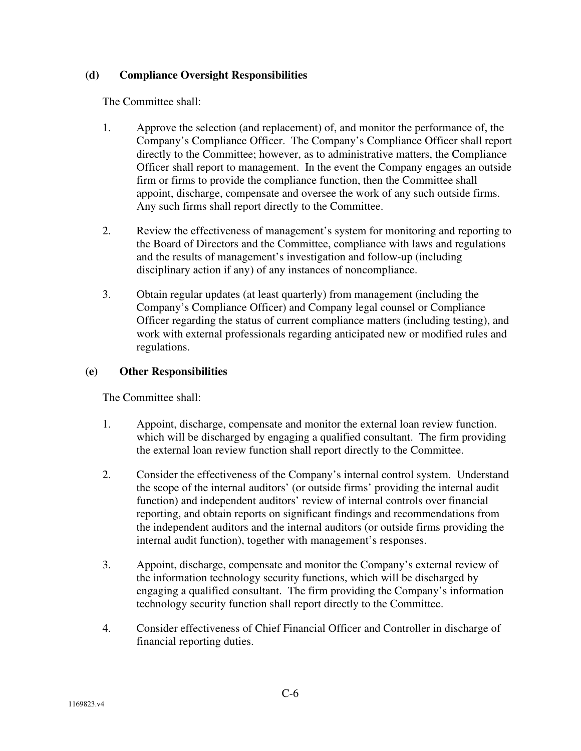# **(d) Compliance Oversight Responsibilities**

The Committee shall:

- 1. Approve the selection (and replacement) of, and monitor the performance of, the Company's Compliance Officer. The Company's Compliance Officer shall report directly to the Committee; however, as to administrative matters, the Compliance Officer shall report to management. In the event the Company engages an outside firm or firms to provide the compliance function, then the Committee shall appoint, discharge, compensate and oversee the work of any such outside firms. Any such firms shall report directly to the Committee.
- 2. Review the effectiveness of management's system for monitoring and reporting to the Board of Directors and the Committee, compliance with laws and regulations and the results of management's investigation and follow-up (including disciplinary action if any) of any instances of noncompliance.
- 3. Obtain regular updates (at least quarterly) from management (including the Company's Compliance Officer) and Company legal counsel or Compliance Officer regarding the status of current compliance matters (including testing), and work with external professionals regarding anticipated new or modified rules and regulations.

## **(e) Other Responsibilities**

The Committee shall:

- 1. Appoint, discharge, compensate and monitor the external loan review function. which will be discharged by engaging a qualified consultant. The firm providing the external loan review function shall report directly to the Committee.
- 2. Consider the effectiveness of the Company's internal control system. Understand the scope of the internal auditors' (or outside firms' providing the internal audit function) and independent auditors' review of internal controls over financial reporting, and obtain reports on significant findings and recommendations from the independent auditors and the internal auditors (or outside firms providing the internal audit function), together with management's responses.
- 3. Appoint, discharge, compensate and monitor the Company's external review of the information technology security functions, which will be discharged by engaging a qualified consultant. The firm providing the Company's information technology security function shall report directly to the Committee.
- 4. Consider effectiveness of Chief Financial Officer and Controller in discharge of financial reporting duties.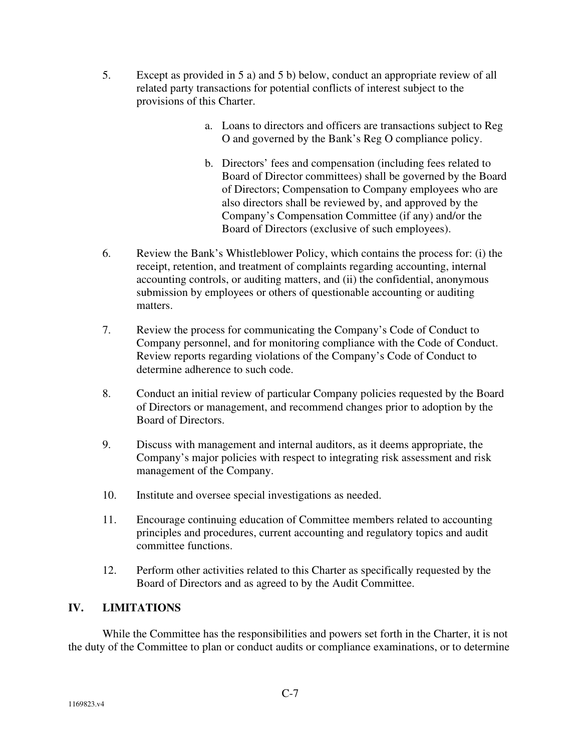- 5. Except as provided in 5 a) and 5 b) below, conduct an appropriate review of all related party transactions for potential conflicts of interest subject to the provisions of this Charter.
	- a. Loans to directors and officers are transactions subject to Reg O and governed by the Bank's Reg O compliance policy.
	- b. Directors' fees and compensation (including fees related to Board of Director committees) shall be governed by the Board of Directors; Compensation to Company employees who are also directors shall be reviewed by, and approved by the Company's Compensation Committee (if any) and/or the Board of Directors (exclusive of such employees).
- 6. Review the Bank's Whistleblower Policy, which contains the process for: (i) the receipt, retention, and treatment of complaints regarding accounting, internal accounting controls, or auditing matters, and (ii) the confidential, anonymous submission by employees or others of questionable accounting or auditing matters.
- 7. Review the process for communicating the Company's Code of Conduct to Company personnel, and for monitoring compliance with the Code of Conduct. Review reports regarding violations of the Company's Code of Conduct to determine adherence to such code.
- 8. Conduct an initial review of particular Company policies requested by the Board of Directors or management, and recommend changes prior to adoption by the Board of Directors.
- 9. Discuss with management and internal auditors, as it deems appropriate, the Company's major policies with respect to integrating risk assessment and risk management of the Company.
- 10. Institute and oversee special investigations as needed.
- 11. Encourage continuing education of Committee members related to accounting principles and procedures, current accounting and regulatory topics and audit committee functions.
- 12. Perform other activities related to this Charter as specifically requested by the Board of Directors and as agreed to by the Audit Committee.

# **IV. LIMITATIONS**

While the Committee has the responsibilities and powers set forth in the Charter, it is not the duty of the Committee to plan or conduct audits or compliance examinations, or to determine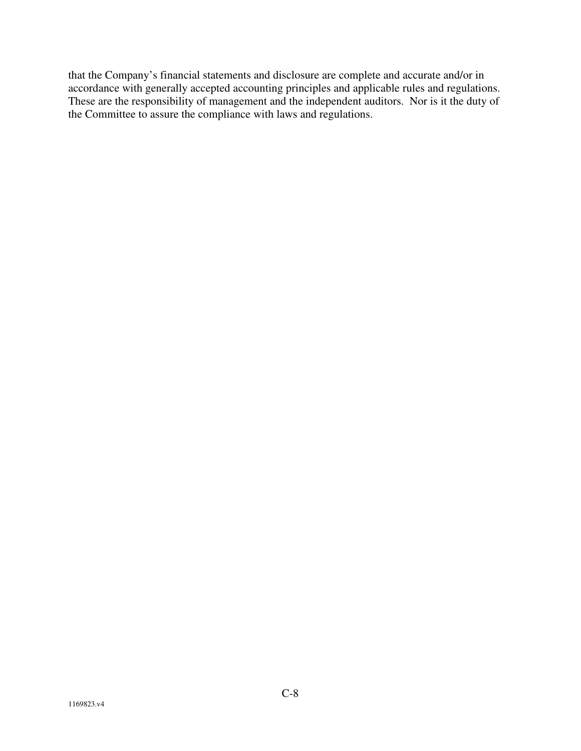that the Company's financial statements and disclosure are complete and accurate and/or in accordance with generally accepted accounting principles and applicable rules and regulations. These are the responsibility of management and the independent auditors. Nor is it the duty of the Committee to assure the compliance with laws and regulations.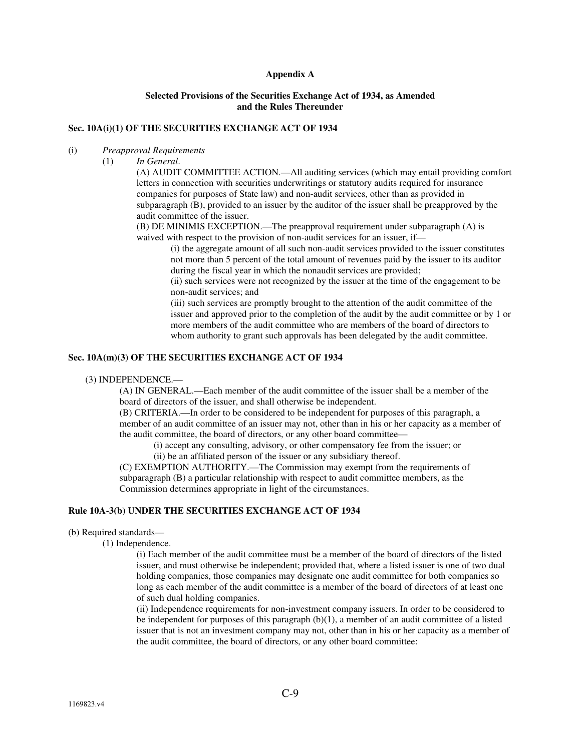#### **Appendix A**

#### **Selected Provisions of the Securities Exchange Act of 1934, as Amended and the Rules Thereunder**

#### **Sec. 10A(i)(1) OF THE SECURITIES EXCHANGE ACT OF 1934**

- (i) *Preapproval Requirements* 
	- (1) *In General*.

(A) AUDIT COMMITTEE ACTION.—All auditing services (which may entail providing comfort letters in connection with securities underwritings or statutory audits required for insurance companies for purposes of State law) and non-audit services, other than as provided in subparagraph (B), provided to an issuer by the auditor of the issuer shall be preapproved by the audit committee of the issuer.

(B) DE MINIMIS EXCEPTION.—The preapproval requirement under subparagraph (A) is waived with respect to the provision of non-audit services for an issuer, if—

(i) the aggregate amount of all such non-audit services provided to the issuer constitutes not more than 5 percent of the total amount of revenues paid by the issuer to its auditor during the fiscal year in which the nonaudit services are provided;

(ii) such services were not recognized by the issuer at the time of the engagement to be non-audit services; and

(iii) such services are promptly brought to the attention of the audit committee of the issuer and approved prior to the completion of the audit by the audit committee or by 1 or more members of the audit committee who are members of the board of directors to whom authority to grant such approvals has been delegated by the audit committee.

#### **Sec. 10A(m)(3) OF THE SECURITIES EXCHANGE ACT OF 1934**

#### (3) INDEPENDENCE.—

(A) IN GENERAL.—Each member of the audit committee of the issuer shall be a member of the board of directors of the issuer, and shall otherwise be independent.

(B) CRITERIA.—In order to be considered to be independent for purposes of this paragraph, a member of an audit committee of an issuer may not, other than in his or her capacity as a member of the audit committee, the board of directors, or any other board committee—

(i) accept any consulting, advisory, or other compensatory fee from the issuer; or (ii) be an affiliated person of the issuer or any subsidiary thereof.

(C) EXEMPTION AUTHORITY.—The Commission may exempt from the requirements of subparagraph (B) a particular relationship with respect to audit committee members, as the Commission determines appropriate in light of the circumstances.

#### **Rule 10A-3(b) UNDER THE SECURITIES EXCHANGE ACT OF 1934**

(b) Required standards—

(1) Independence.

(i) Each member of the audit committee must be a member of the board of directors of the listed issuer, and must otherwise be independent; provided that, where a listed issuer is one of two dual holding companies, those companies may designate one audit committee for both companies so long as each member of the audit committee is a member of the board of directors of at least one of such dual holding companies.

(ii) Independence requirements for non-investment company issuers. In order to be considered to be independent for purposes of this paragraph (b)(1), a member of an audit committee of a listed issuer that is not an investment company may not, other than in his or her capacity as a member of the audit committee, the board of directors, or any other board committee: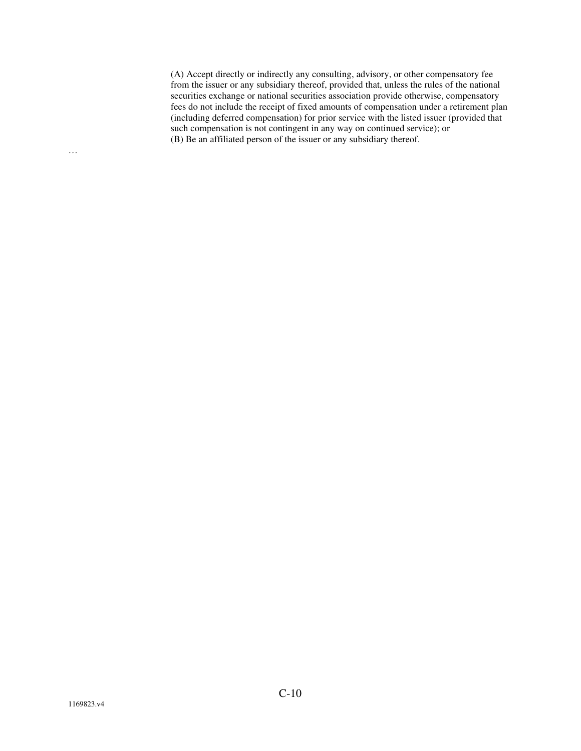(A) Accept directly or indirectly any consulting, advisory, or other compensatory fee from the issuer or any subsidiary thereof, provided that, unless the rules of the national securities exchange or national securities association provide otherwise, compensatory fees do not include the receipt of fixed amounts of compensation under a retirement plan (including deferred compensation) for prior service with the listed issuer (provided that such compensation is not contingent in any way on continued service); or (B) Be an affiliated person of the issuer or any subsidiary thereof.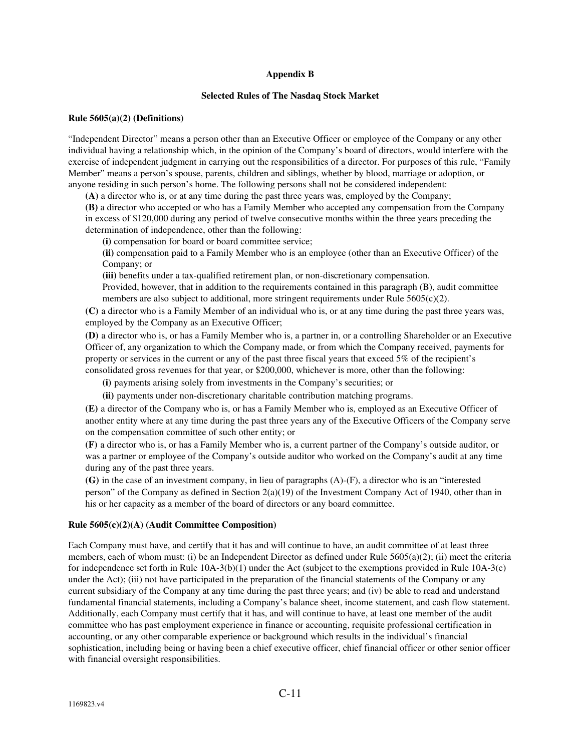#### **Appendix B**

#### **Selected Rules of The Nasdaq Stock Market**

#### **Rule 5605(a)(2) (Definitions)**

"Independent Director" means a person other than an Executive Officer or employee of the Company or any other individual having a relationship which, in the opinion of the Company's board of directors, would interfere with the exercise of independent judgment in carrying out the responsibilities of a director. For purposes of this rule, "Family Member" means a person's spouse, parents, children and siblings, whether by blood, marriage or adoption, or anyone residing in such person's home. The following persons shall not be considered independent:

**(A)** a director who is, or at any time during the past three years was, employed by the Company;

**(B)** a director who accepted or who has a Family Member who accepted any compensation from the Company in excess of \$120,000 during any period of twelve consecutive months within the three years preceding the determination of independence, other than the following:

**(i)** compensation for board or board committee service;

**(ii)** compensation paid to a Family Member who is an employee (other than an Executive Officer) of the Company; or

**(iii)** benefits under a tax-qualified retirement plan, or non-discretionary compensation.

Provided, however, that in addition to the requirements contained in this paragraph (B), audit committee members are also subject to additional, more stringent requirements under Rule 5605(c)(2).

**(C)** a director who is a Family Member of an individual who is, or at any time during the past three years was, employed by the Company as an Executive Officer;

**(D)** a director who is, or has a Family Member who is, a partner in, or a controlling Shareholder or an Executive Officer of, any organization to which the Company made, or from which the Company received, payments for property or services in the current or any of the past three fiscal years that exceed 5% of the recipient's consolidated gross revenues for that year, or \$200,000, whichever is more, other than the following:

**(i)** payments arising solely from investments in the Company's securities; or

**(ii)** payments under non-discretionary charitable contribution matching programs.

**(E)** a director of the Company who is, or has a Family Member who is, employed as an Executive Officer of another entity where at any time during the past three years any of the Executive Officers of the Company serve on the compensation committee of such other entity; or

**(F)** a director who is, or has a Family Member who is, a current partner of the Company's outside auditor, or was a partner or employee of the Company's outside auditor who worked on the Company's audit at any time during any of the past three years.

**(G)** in the case of an investment company, in lieu of paragraphs (A)-(F), a director who is an "interested person" of the Company as defined in Section 2(a)(19) of the Investment Company Act of 1940, other than in his or her capacity as a member of the board of directors or any board committee.

#### **Rule 5605(c)(2)(A) (Audit Committee Composition)**

Each Company must have, and certify that it has and will continue to have, an audit committee of at least three members, each of whom must: (i) be an Independent Director as defined under Rule 5605(a)(2); (ii) meet the criteria for independence set forth in Rule 10A-3(b)(1) under the Act (subject to the exemptions provided in Rule 10A-3(c) under the Act); (iii) not have participated in the preparation of the financial statements of the Company or any current subsidiary of the Company at any time during the past three years; and (iv) be able to read and understand fundamental financial statements, including a Company's balance sheet, income statement, and cash flow statement. Additionally, each Company must certify that it has, and will continue to have, at least one member of the audit committee who has past employment experience in finance or accounting, requisite professional certification in accounting, or any other comparable experience or background which results in the individual's financial sophistication, including being or having been a chief executive officer, chief financial officer or other senior officer with financial oversight responsibilities.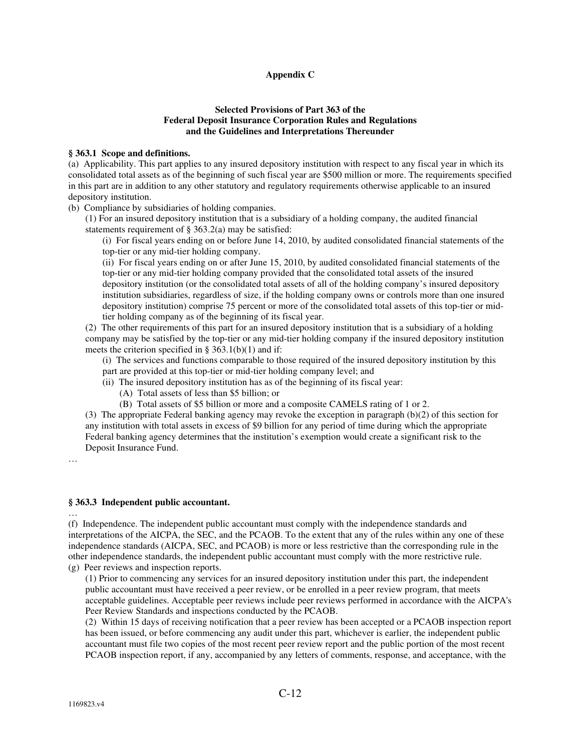#### **Appendix C**

#### **Selected Provisions of Part 363 of the Federal Deposit Insurance Corporation Rules and Regulations and the Guidelines and Interpretations Thereunder**

#### **§ 363.1 Scope and definitions.**

(a) Applicability. This part applies to any insured depository institution with respect to any fiscal year in which its consolidated total assets as of the beginning of such fiscal year are \$500 million or more. The requirements specified in this part are in addition to any other statutory and regulatory requirements otherwise applicable to an insured depository institution.

(b) Compliance by subsidiaries of holding companies.

(1) For an insured depository institution that is a subsidiary of a holding company, the audited financial statements requirement of  $\S$  363.2(a) may be satisfied:

(i) For fiscal years ending on or before June 14, 2010, by audited consolidated financial statements of the top-tier or any mid-tier holding company.

(ii) For fiscal years ending on or after June 15, 2010, by audited consolidated financial statements of the top-tier or any mid-tier holding company provided that the consolidated total assets of the insured depository institution (or the consolidated total assets of all of the holding company's insured depository institution subsidiaries, regardless of size, if the holding company owns or controls more than one insured depository institution) comprise 75 percent or more of the consolidated total assets of this top-tier or midtier holding company as of the beginning of its fiscal year.

(2) The other requirements of this part for an insured depository institution that is a subsidiary of a holding company may be satisfied by the top-tier or any mid-tier holding company if the insured depository institution meets the criterion specified in § 363.1(b)(1) and if:

(i) The services and functions comparable to those required of the insured depository institution by this part are provided at this top-tier or mid-tier holding company level; and

- (ii) The insured depository institution has as of the beginning of its fiscal year:
	- (A) Total assets of less than \$5 billion; or
	- (B) Total assets of \$5 billion or more and a composite CAMELS rating of 1 or 2.

(3) The appropriate Federal banking agency may revoke the exception in paragraph (b)(2) of this section for any institution with total assets in excess of \$9 billion for any period of time during which the appropriate Federal banking agency determines that the institution's exemption would create a significant risk to the Deposit Insurance Fund.

…

#### **§ 363.3 Independent public accountant.**

… (f) Independence. The independent public accountant must comply with the independence standards and interpretations of the AICPA, the SEC, and the PCAOB. To the extent that any of the rules within any one of these independence standards (AICPA, SEC, and PCAOB) is more or less restrictive than the corresponding rule in the other independence standards, the independent public accountant must comply with the more restrictive rule. (g) Peer reviews and inspection reports.

(1) Prior to commencing any services for an insured depository institution under this part, the independent public accountant must have received a peer review, or be enrolled in a peer review program, that meets acceptable guidelines. Acceptable peer reviews include peer reviews performed in accordance with the AICPA's Peer Review Standards and inspections conducted by the PCAOB.

(2) Within 15 days of receiving notification that a peer review has been accepted or a PCAOB inspection report has been issued, or before commencing any audit under this part, whichever is earlier, the independent public accountant must file two copies of the most recent peer review report and the public portion of the most recent PCAOB inspection report, if any, accompanied by any letters of comments, response, and acceptance, with the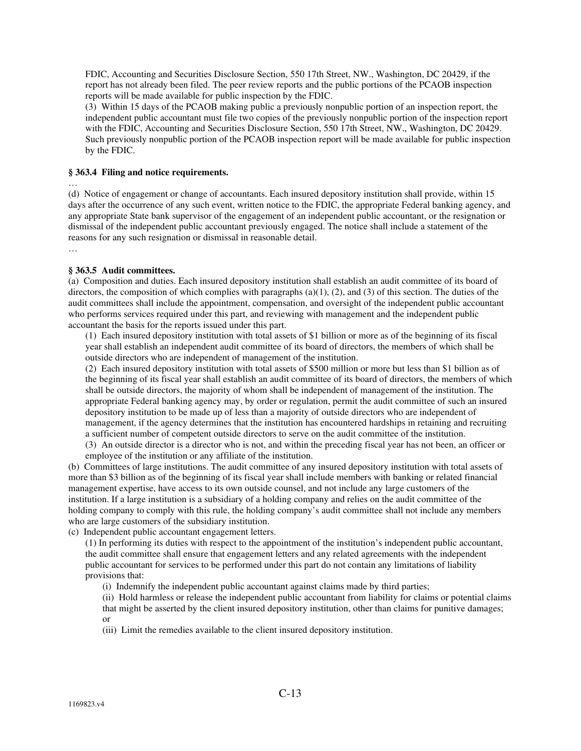FDIC, Accounting and Securities Disclosure Section, 550 17th Street, NW., Washington, DC 20429, if the report has not already been filed. The peer review reports and the public portions of the PCAOB inspection reports will be made available for public inspection by the FDIC.

(3) Within 15 days of the PCAOB making public a previously nonpublic portion of an inspection report, the independent public accountant must file two copies of the previously nonpublic portion of the inspection report with the FDIC, Accounting and Securities Disclosure Section, 550 17th Street, NW., Washington, DC 20429. Such previously nonpublic portion of the PCAOB inspection report will be made available for public inspection by the FDIC.

#### **§ 363.4 Filing and notice requirements.**

(d) Notice of engagement or change of accountants. Each insured depository institution shall provide, within 15 days after the occurrence of any such event, written notice to the FDIC, the appropriate Federal banking agency, and any appropriate State bank supervisor of the engagement of an independent public accountant, or the resignation or dismissal of the independent public accountant previously engaged. The notice shall include a statement of the reasons for any such resignation or dismissal in reasonable detail.

…

…

#### **§ 363.5 Audit committees.**

(a) Composition and duties. Each insured depository institution shall establish an audit committee of its board of directors, the composition of which complies with paragraphs  $(a)(1)$ ,  $(2)$ , and  $(3)$  of this section. The duties of the audit committees shall include the appointment, compensation, and oversight of the independent public accountant who performs services required under this part, and reviewing with management and the independent public accountant the basis for the reports issued under this part.

(1) Each insured depository institution with total assets of \$1 billion or more as of the beginning of its fiscal year shall establish an independent audit committee of its board of directors, the members of which shall be outside directors who are independent of management of the institution.

(2) Each insured depository institution with total assets of \$500 million or more but less than \$1 billion as of the beginning of its fiscal year shall establish an audit committee of its board of directors, the members of which shall be outside directors, the majority of whom shall be independent of management of the institution. The appropriate Federal banking agency may, by order or regulation, permit the audit committee of such an insured depository institution to be made up of less than a majority of outside directors who are independent of management, if the agency determines that the institution has encountered hardships in retaining and recruiting a sufficient number of competent outside directors to serve on the audit committee of the institution.

(3) An outside director is a director who is not, and within the preceding fiscal year has not been, an officer or employee of the institution or any affiliate of the institution.

(b) Committees of large institutions. The audit committee of any insured depository institution with total assets of more than \$3 billion as of the beginning of its fiscal year shall include members with banking or related financial management expertise, have access to its own outside counsel, and not include any large customers of the institution. If a large institution is a subsidiary of a holding company and relies on the audit committee of the holding company to comply with this rule, the holding company's audit committee shall not include any members who are large customers of the subsidiary institution.

(c) Independent public accountant engagement letters.

(1) In performing its duties with respect to the appointment of the institution's independent public accountant, the audit committee shall ensure that engagement letters and any related agreements with the independent public accountant for services to be performed under this part do not contain any limitations of liability provisions that:

(i) Indemnify the independent public accountant against claims made by third parties;

(ii) Hold harmless or release the independent public accountant from liability for claims or potential claims that might be asserted by the client insured depository institution, other than claims for punitive damages; or

(iii) Limit the remedies available to the client insured depository institution.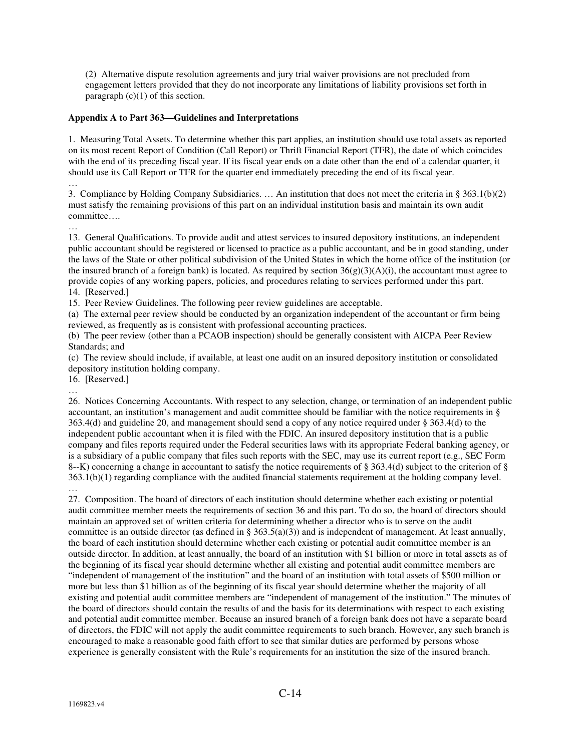(2) Alternative dispute resolution agreements and jury trial waiver provisions are not precluded from engagement letters provided that they do not incorporate any limitations of liability provisions set forth in paragraph  $(c)(1)$  of this section.

#### **Appendix A to Part 363—Guidelines and Interpretations**

1. Measuring Total Assets. To determine whether this part applies, an institution should use total assets as reported on its most recent Report of Condition (Call Report) or Thrift Financial Report (TFR), the date of which coincides with the end of its preceding fiscal year. If its fiscal year ends on a date other than the end of a calendar quarter, it should use its Call Report or TFR for the quarter end immediately preceding the end of its fiscal year.

3. Compliance by Holding Company Subsidiaries. … An institution that does not meet the criteria in § 363.1(b)(2) must satisfy the remaining provisions of this part on an individual institution basis and maintain its own audit committee….

… 13. General Qualifications. To provide audit and attest services to insured depository institutions, an independent public accountant should be registered or licensed to practice as a public accountant, and be in good standing, under the laws of the State or other political subdivision of the United States in which the home office of the institution (or the insured branch of a foreign bank) is located. As required by section  $36(g)(3)(A)(i)$ , the accountant must agree to provide copies of any working papers, policies, and procedures relating to services performed under this part. 14. [Reserved.]

15. Peer Review Guidelines. The following peer review guidelines are acceptable.

(a) The external peer review should be conducted by an organization independent of the accountant or firm being reviewed, as frequently as is consistent with professional accounting practices.

(b) The peer review (other than a PCAOB inspection) should be generally consistent with AICPA Peer Review Standards; and

(c) The review should include, if available, at least one audit on an insured depository institution or consolidated depository institution holding company.

16. [Reserved.]

…

… 26. Notices Concerning Accountants. With respect to any selection, change, or termination of an independent public accountant, an institution's management and audit committee should be familiar with the notice requirements in § 363.4(d) and guideline 20, and management should send a copy of any notice required under § 363.4(d) to the independent public accountant when it is filed with the FDIC. An insured depository institution that is a public company and files reports required under the Federal securities laws with its appropriate Federal banking agency, or is a subsidiary of a public company that files such reports with the SEC, may use its current report (e.g., SEC Form 8--K) concerning a change in accountant to satisfy the notice requirements of § 363.4(d) subject to the criterion of § 363.1(b)(1) regarding compliance with the audited financial statements requirement at the holding company level.

… 27. Composition. The board of directors of each institution should determine whether each existing or potential audit committee member meets the requirements of section 36 and this part. To do so, the board of directors should maintain an approved set of written criteria for determining whether a director who is to serve on the audit committee is an outside director (as defined in § 363.5(a)(3)) and is independent of management. At least annually, the board of each institution should determine whether each existing or potential audit committee member is an outside director. In addition, at least annually, the board of an institution with \$1 billion or more in total assets as of the beginning of its fiscal year should determine whether all existing and potential audit committee members are "independent of management of the institution" and the board of an institution with total assets of \$500 million or more but less than \$1 billion as of the beginning of its fiscal year should determine whether the majority of all existing and potential audit committee members are "independent of management of the institution." The minutes of the board of directors should contain the results of and the basis for its determinations with respect to each existing and potential audit committee member. Because an insured branch of a foreign bank does not have a separate board of directors, the FDIC will not apply the audit committee requirements to such branch. However, any such branch is encouraged to make a reasonable good faith effort to see that similar duties are performed by persons whose experience is generally consistent with the Rule's requirements for an institution the size of the insured branch.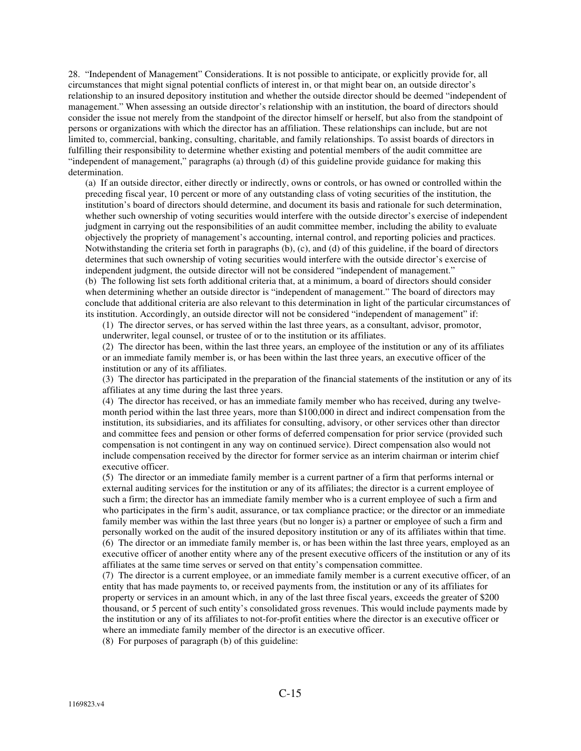28. "Independent of Management" Considerations. It is not possible to anticipate, or explicitly provide for, all circumstances that might signal potential conflicts of interest in, or that might bear on, an outside director's relationship to an insured depository institution and whether the outside director should be deemed "independent of management." When assessing an outside director's relationship with an institution, the board of directors should consider the issue not merely from the standpoint of the director himself or herself, but also from the standpoint of persons or organizations with which the director has an affiliation. These relationships can include, but are not limited to, commercial, banking, consulting, charitable, and family relationships. To assist boards of directors in fulfilling their responsibility to determine whether existing and potential members of the audit committee are "independent of management," paragraphs (a) through (d) of this guideline provide guidance for making this determination.

(a) If an outside director, either directly or indirectly, owns or controls, or has owned or controlled within the preceding fiscal year, 10 percent or more of any outstanding class of voting securities of the institution, the institution's board of directors should determine, and document its basis and rationale for such determination, whether such ownership of voting securities would interfere with the outside director's exercise of independent judgment in carrying out the responsibilities of an audit committee member, including the ability to evaluate objectively the propriety of management's accounting, internal control, and reporting policies and practices. Notwithstanding the criteria set forth in paragraphs (b), (c), and (d) of this guideline, if the board of directors determines that such ownership of voting securities would interfere with the outside director's exercise of independent judgment, the outside director will not be considered "independent of management."

(b) The following list sets forth additional criteria that, at a minimum, a board of directors should consider when determining whether an outside director is "independent of management." The board of directors may conclude that additional criteria are also relevant to this determination in light of the particular circumstances of its institution. Accordingly, an outside director will not be considered "independent of management" if:

(1) The director serves, or has served within the last three years, as a consultant, advisor, promotor, underwriter, legal counsel, or trustee of or to the institution or its affiliates.

(2) The director has been, within the last three years, an employee of the institution or any of its affiliates or an immediate family member is, or has been within the last three years, an executive officer of the institution or any of its affiliates.

(3) The director has participated in the preparation of the financial statements of the institution or any of its affiliates at any time during the last three years.

(4) The director has received, or has an immediate family member who has received, during any twelvemonth period within the last three years, more than \$100,000 in direct and indirect compensation from the institution, its subsidiaries, and its affiliates for consulting, advisory, or other services other than director and committee fees and pension or other forms of deferred compensation for prior service (provided such compensation is not contingent in any way on continued service). Direct compensation also would not include compensation received by the director for former service as an interim chairman or interim chief executive officer.

(5) The director or an immediate family member is a current partner of a firm that performs internal or external auditing services for the institution or any of its affiliates; the director is a current employee of such a firm; the director has an immediate family member who is a current employee of such a firm and who participates in the firm's audit, assurance, or tax compliance practice; or the director or an immediate family member was within the last three years (but no longer is) a partner or employee of such a firm and personally worked on the audit of the insured depository institution or any of its affiliates within that time. (6) The director or an immediate family member is, or has been within the last three years, employed as an executive officer of another entity where any of the present executive officers of the institution or any of its affiliates at the same time serves or served on that entity's compensation committee.

(7) The director is a current employee, or an immediate family member is a current executive officer, of an entity that has made payments to, or received payments from, the institution or any of its affiliates for property or services in an amount which, in any of the last three fiscal years, exceeds the greater of \$200 thousand, or 5 percent of such entity's consolidated gross revenues. This would include payments made by the institution or any of its affiliates to not-for-profit entities where the director is an executive officer or where an immediate family member of the director is an executive officer.

(8) For purposes of paragraph (b) of this guideline: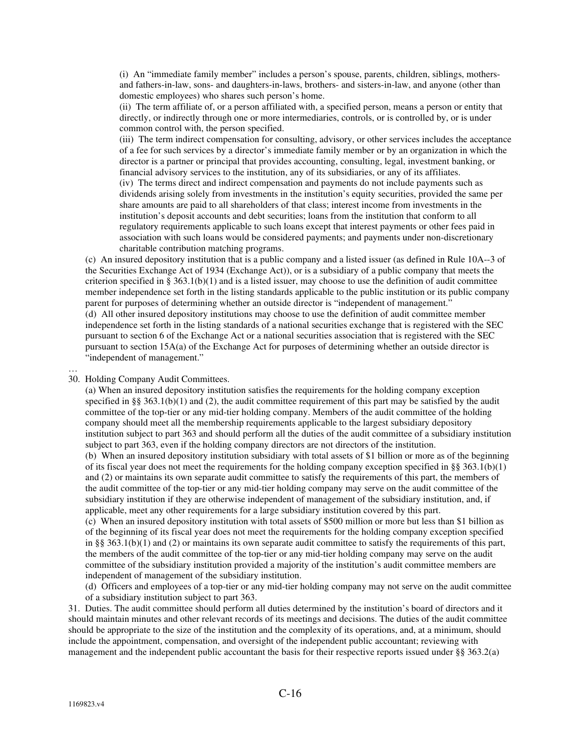(i) An "immediate family member" includes a person's spouse, parents, children, siblings, mothersand fathers-in-law, sons- and daughters-in-laws, brothers- and sisters-in-law, and anyone (other than domestic employees) who shares such person's home.

(ii) The term affiliate of, or a person affiliated with, a specified person, means a person or entity that directly, or indirectly through one or more intermediaries, controls, or is controlled by, or is under common control with, the person specified.

(iii) The term indirect compensation for consulting, advisory, or other services includes the acceptance of a fee for such services by a director's immediate family member or by an organization in which the director is a partner or principal that provides accounting, consulting, legal, investment banking, or financial advisory services to the institution, any of its subsidiaries, or any of its affiliates.

(iv) The terms direct and indirect compensation and payments do not include payments such as dividends arising solely from investments in the institution's equity securities, provided the same per share amounts are paid to all shareholders of that class; interest income from investments in the institution's deposit accounts and debt securities; loans from the institution that conform to all regulatory requirements applicable to such loans except that interest payments or other fees paid in association with such loans would be considered payments; and payments under non-discretionary charitable contribution matching programs.

(c) An insured depository institution that is a public company and a listed issuer (as defined in Rule 10A--3 of the Securities Exchange Act of 1934 (Exchange Act)), or is a subsidiary of a public company that meets the criterion specified in § 363.1(b)(1) and is a listed issuer, may choose to use the definition of audit committee member independence set forth in the listing standards applicable to the public institution or its public company parent for purposes of determining whether an outside director is "independent of management." (d) All other insured depository institutions may choose to use the definition of audit committee member independence set forth in the listing standards of a national securities exchange that is registered with the SEC pursuant to section 6 of the Exchange Act or a national securities association that is registered with the SEC pursuant to section 15A(a) of the Exchange Act for purposes of determining whether an outside director is "independent of management."

### …

30. Holding Company Audit Committees.

(a) When an insured depository institution satisfies the requirements for the holding company exception specified in  $\S$ § 363.1(b)(1) and (2), the audit committee requirement of this part may be satisfied by the audit committee of the top-tier or any mid-tier holding company. Members of the audit committee of the holding company should meet all the membership requirements applicable to the largest subsidiary depository institution subject to part 363 and should perform all the duties of the audit committee of a subsidiary institution subject to part 363, even if the holding company directors are not directors of the institution.

(b) When an insured depository institution subsidiary with total assets of \$1 billion or more as of the beginning of its fiscal year does not meet the requirements for the holding company exception specified in §§ 363.1(b)(1) and (2) or maintains its own separate audit committee to satisfy the requirements of this part, the members of the audit committee of the top-tier or any mid-tier holding company may serve on the audit committee of the subsidiary institution if they are otherwise independent of management of the subsidiary institution, and, if applicable, meet any other requirements for a large subsidiary institution covered by this part.

(c) When an insured depository institution with total assets of \$500 million or more but less than \$1 billion as of the beginning of its fiscal year does not meet the requirements for the holding company exception specified in §§ 363.1(b)(1) and (2) or maintains its own separate audit committee to satisfy the requirements of this part, the members of the audit committee of the top-tier or any mid-tier holding company may serve on the audit committee of the subsidiary institution provided a majority of the institution's audit committee members are independent of management of the subsidiary institution.

(d) Officers and employees of a top-tier or any mid-tier holding company may not serve on the audit committee of a subsidiary institution subject to part 363.

31. Duties. The audit committee should perform all duties determined by the institution's board of directors and it should maintain minutes and other relevant records of its meetings and decisions. The duties of the audit committee should be appropriate to the size of the institution and the complexity of its operations, and, at a minimum, should include the appointment, compensation, and oversight of the independent public accountant; reviewing with management and the independent public accountant the basis for their respective reports issued under §§ 363.2(a)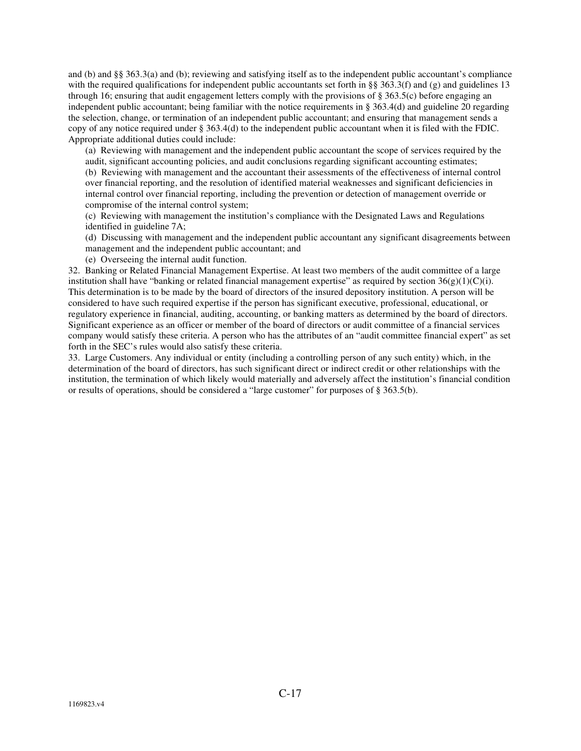and (b) and §§ 363.3(a) and (b); reviewing and satisfying itself as to the independent public accountant's compliance with the required qualifications for independent public accountants set forth in §§ 363.3(f) and (g) and guidelines 13 through 16; ensuring that audit engagement letters comply with the provisions of  $\S 363.5(c)$  before engaging an independent public accountant; being familiar with the notice requirements in § 363.4(d) and guideline 20 regarding the selection, change, or termination of an independent public accountant; and ensuring that management sends a copy of any notice required under § 363.4(d) to the independent public accountant when it is filed with the FDIC. Appropriate additional duties could include:

(a) Reviewing with management and the independent public accountant the scope of services required by the audit, significant accounting policies, and audit conclusions regarding significant accounting estimates; (b) Reviewing with management and the accountant their assessments of the effectiveness of internal control

over financial reporting, and the resolution of identified material weaknesses and significant deficiencies in internal control over financial reporting, including the prevention or detection of management override or compromise of the internal control system;

(c) Reviewing with management the institution's compliance with the Designated Laws and Regulations identified in guideline 7A;

(d) Discussing with management and the independent public accountant any significant disagreements between

management and the independent public accountant; and

(e) Overseeing the internal audit function.

32. Banking or Related Financial Management Expertise. At least two members of the audit committee of a large institution shall have "banking or related financial management expertise" as required by section  $36(g)(1)(C)(i)$ . This determination is to be made by the board of directors of the insured depository institution. A person will be considered to have such required expertise if the person has significant executive, professional, educational, or regulatory experience in financial, auditing, accounting, or banking matters as determined by the board of directors. Significant experience as an officer or member of the board of directors or audit committee of a financial services company would satisfy these criteria. A person who has the attributes of an "audit committee financial expert" as set forth in the SEC's rules would also satisfy these criteria.

33. Large Customers. Any individual or entity (including a controlling person of any such entity) which, in the determination of the board of directors, has such significant direct or indirect credit or other relationships with the institution, the termination of which likely would materially and adversely affect the institution's financial condition or results of operations, should be considered a "large customer" for purposes of § 363.5(b).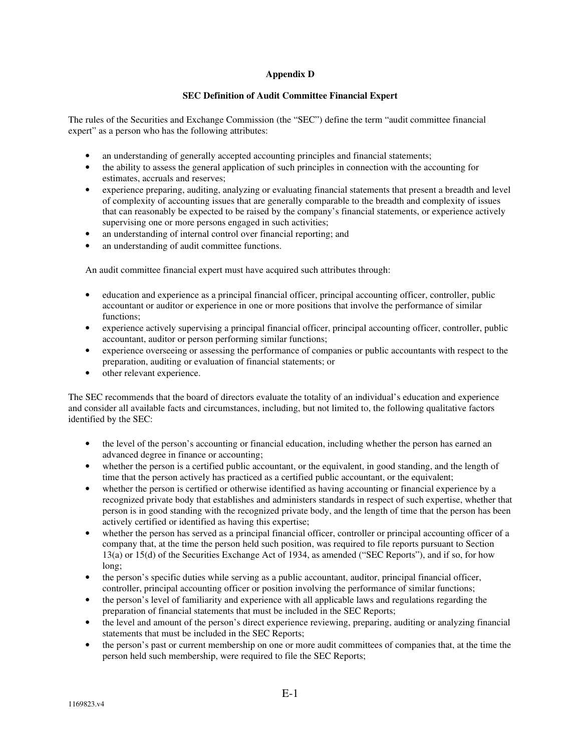#### **Appendix D**

#### **SEC Definition of Audit Committee Financial Expert**

The rules of the Securities and Exchange Commission (the "SEC") define the term "audit committee financial expert" as a person who has the following attributes:

- an understanding of generally accepted accounting principles and financial statements;
- the ability to assess the general application of such principles in connection with the accounting for estimates, accruals and reserves;
- experience preparing, auditing, analyzing or evaluating financial statements that present a breadth and level of complexity of accounting issues that are generally comparable to the breadth and complexity of issues that can reasonably be expected to be raised by the company's financial statements, or experience actively supervising one or more persons engaged in such activities;
- an understanding of internal control over financial reporting; and
- an understanding of audit committee functions.

An audit committee financial expert must have acquired such attributes through:

- education and experience as a principal financial officer, principal accounting officer, controller, public accountant or auditor or experience in one or more positions that involve the performance of similar functions;
- experience actively supervising a principal financial officer, principal accounting officer, controller, public accountant, auditor or person performing similar functions;
- experience overseeing or assessing the performance of companies or public accountants with respect to the preparation, auditing or evaluation of financial statements; or
- other relevant experience.

The SEC recommends that the board of directors evaluate the totality of an individual's education and experience and consider all available facts and circumstances, including, but not limited to, the following qualitative factors identified by the SEC:

- the level of the person's accounting or financial education, including whether the person has earned an advanced degree in finance or accounting;
- whether the person is a certified public accountant, or the equivalent, in good standing, and the length of time that the person actively has practiced as a certified public accountant, or the equivalent;
- whether the person is certified or otherwise identified as having accounting or financial experience by a recognized private body that establishes and administers standards in respect of such expertise, whether that person is in good standing with the recognized private body, and the length of time that the person has been actively certified or identified as having this expertise;
- whether the person has served as a principal financial officer, controller or principal accounting officer of a company that, at the time the person held such position, was required to file reports pursuant to Section 13(a) or 15(d) of the Securities Exchange Act of 1934, as amended ("SEC Reports"), and if so, for how long;
- the person's specific duties while serving as a public accountant, auditor, principal financial officer, controller, principal accounting officer or position involving the performance of similar functions;
- the person's level of familiarity and experience with all applicable laws and regulations regarding the preparation of financial statements that must be included in the SEC Reports;
- the level and amount of the person's direct experience reviewing, preparing, auditing or analyzing financial statements that must be included in the SEC Reports;
- the person's past or current membership on one or more audit committees of companies that, at the time the person held such membership, were required to file the SEC Reports;